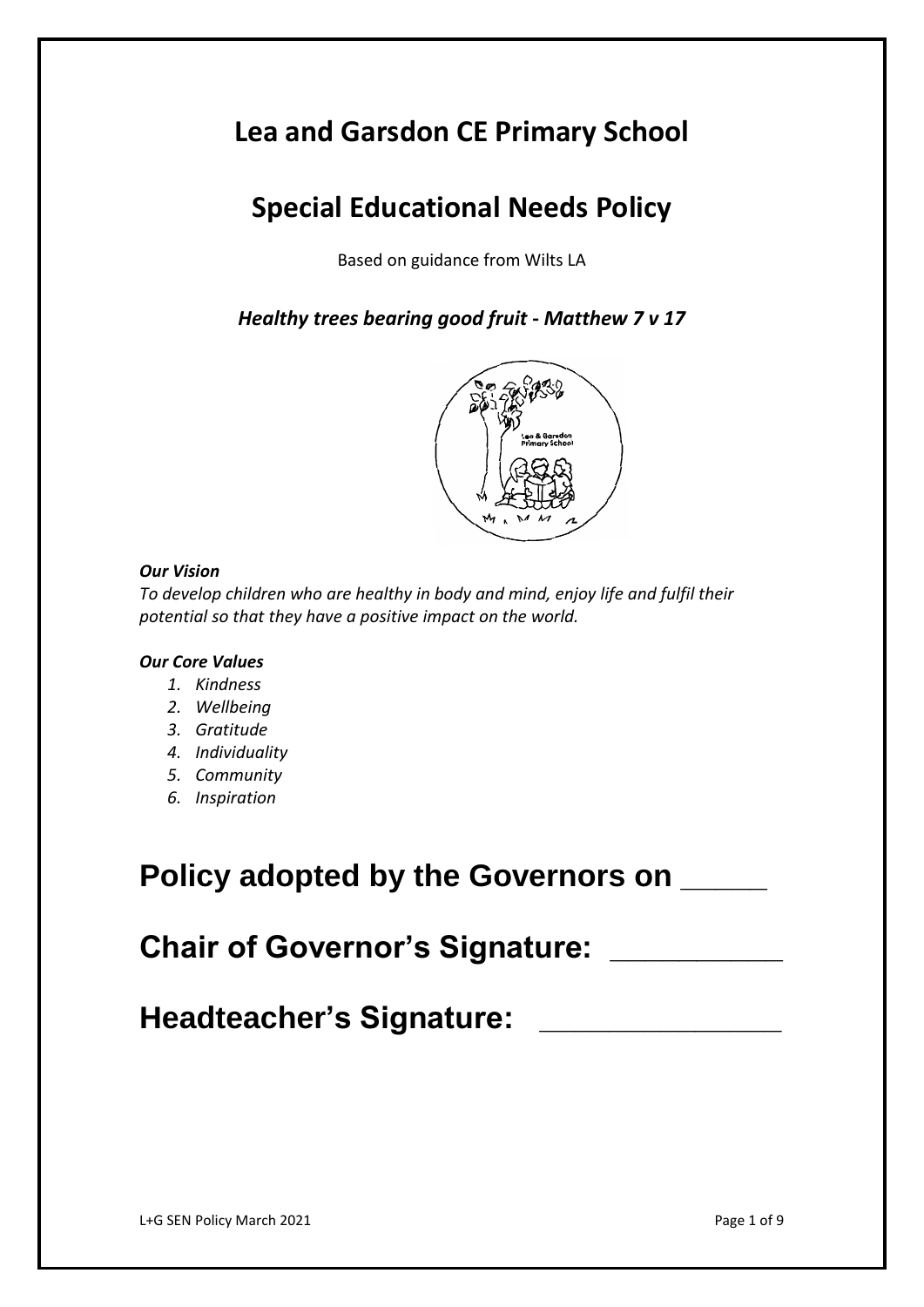# **Lea and Garsdon CE Primary School**

# **Special Educational Needs Policy**

Based on guidance from Wilts LA

*Healthy trees bearing good fruit* **-** *Matthew 7 v 17*



# *Our Vision*

*To develop children who are healthy in body and mind, enjoy life and fulfil their potential so that they have a positive impact on the world.*

# *Our Core Values*

- *1. Kindness*
- *2. Wellbeing*
- *3. Gratitude*
- *4. Individuality*
- *5. Community*
- *6. Inspiration*

# **Policy adopted by the Governors on \_\_\_\_\_**

**Chair of Governor's Signature: \_\_\_\_\_\_\_\_\_\_**

**Headteacher's Signature: \_\_\_\_\_\_\_\_\_\_\_\_\_\_**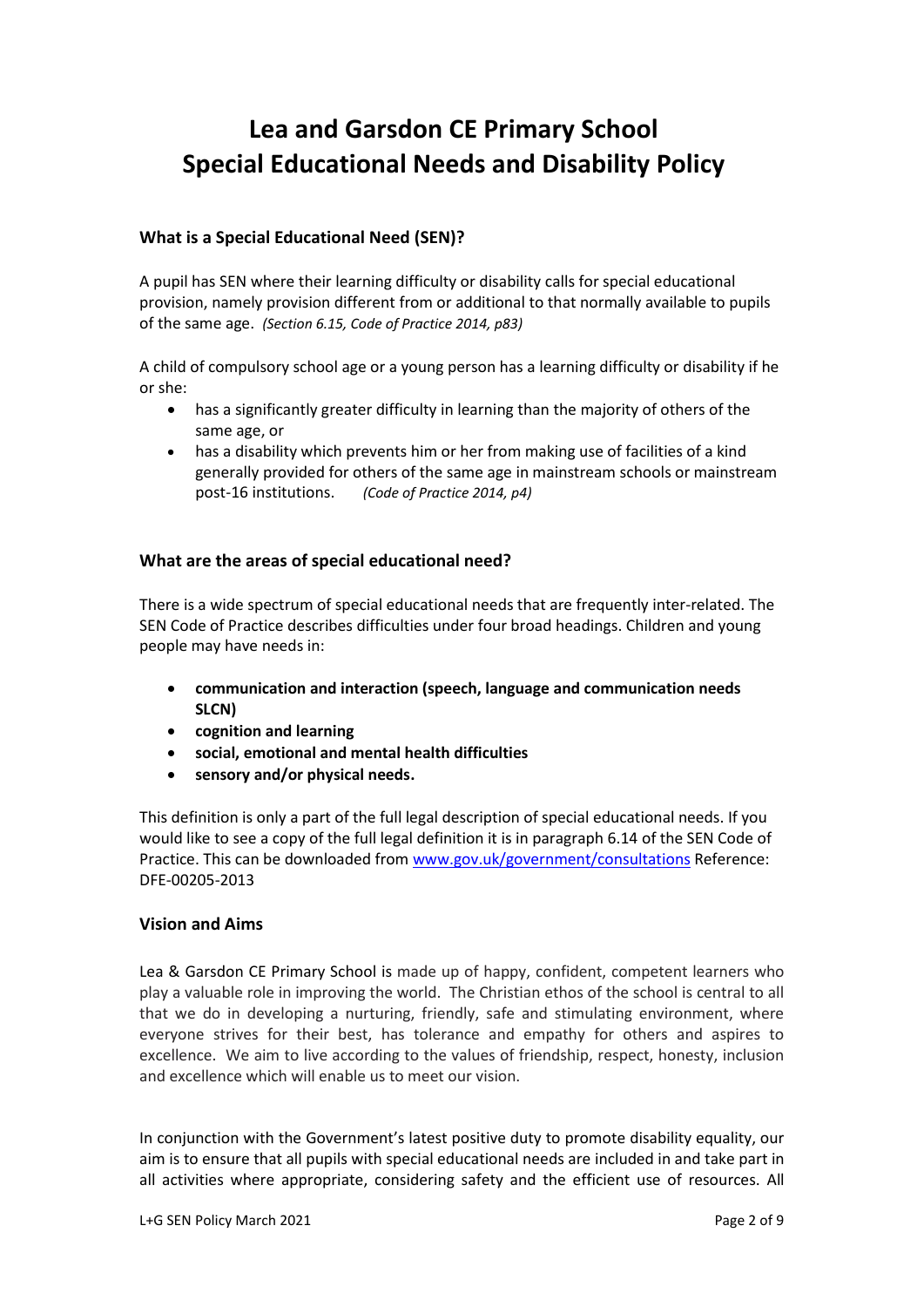# **Lea and Garsdon CE Primary School Special Educational Needs and Disability Policy**

# **What is a Special Educational Need (SEN)?**

A pupil has SEN where their learning difficulty or disability calls for special educational provision, namely provision different from or additional to that normally available to pupils of the same age. *(Section 6.15, Code of Practice 2014, p83)*

A child of compulsory school age or a young person has a learning difficulty or disability if he or she:

- has a significantly greater difficulty in learning than the majority of others of the same age, or
- has a disability which prevents him or her from making use of facilities of a kind generally provided for others of the same age in mainstream schools or mainstream post-16 institutions. *(Code of Practice 2014, p4)*

#### **What are the areas of special educational need?**

There is a wide spectrum of special educational needs that are frequently inter-related. The SEN Code of Practice describes difficulties under four broad headings. Children and young people may have needs in:

- **communication and interaction (speech, language and communication needs SLCN)**
- **cognition and learning**
- **social, emotional and mental health difficulties**
- **sensory and/or physical needs.**

This definition is only a part of the full legal description of special educational needs. If you would like to see a copy of the full legal definition it is in paragraph 6.14 of the SEN Code of Practice. This can be downloaded from [www.gov.uk/government/consultations](http://www.gov.uk/government/consultations) Reference: DFE-00205-2013

## **Vision and Aims**

Lea & Garsdon CE Primary School is made up of happy, confident, competent learners who play a valuable role in improving the world. The Christian ethos of the school is central to all that we do in developing a nurturing, friendly, safe and stimulating environment, where everyone strives for their best, has tolerance and empathy for others and aspires to excellence. We aim to live according to the values of friendship, respect, honesty, inclusion and excellence which will enable us to meet our vision.

In conjunction with the Government's latest positive duty to promote disability equality, our aim is to ensure that all pupils with special educational needs are included in and take part in all activities where appropriate, considering safety and the efficient use of resources. All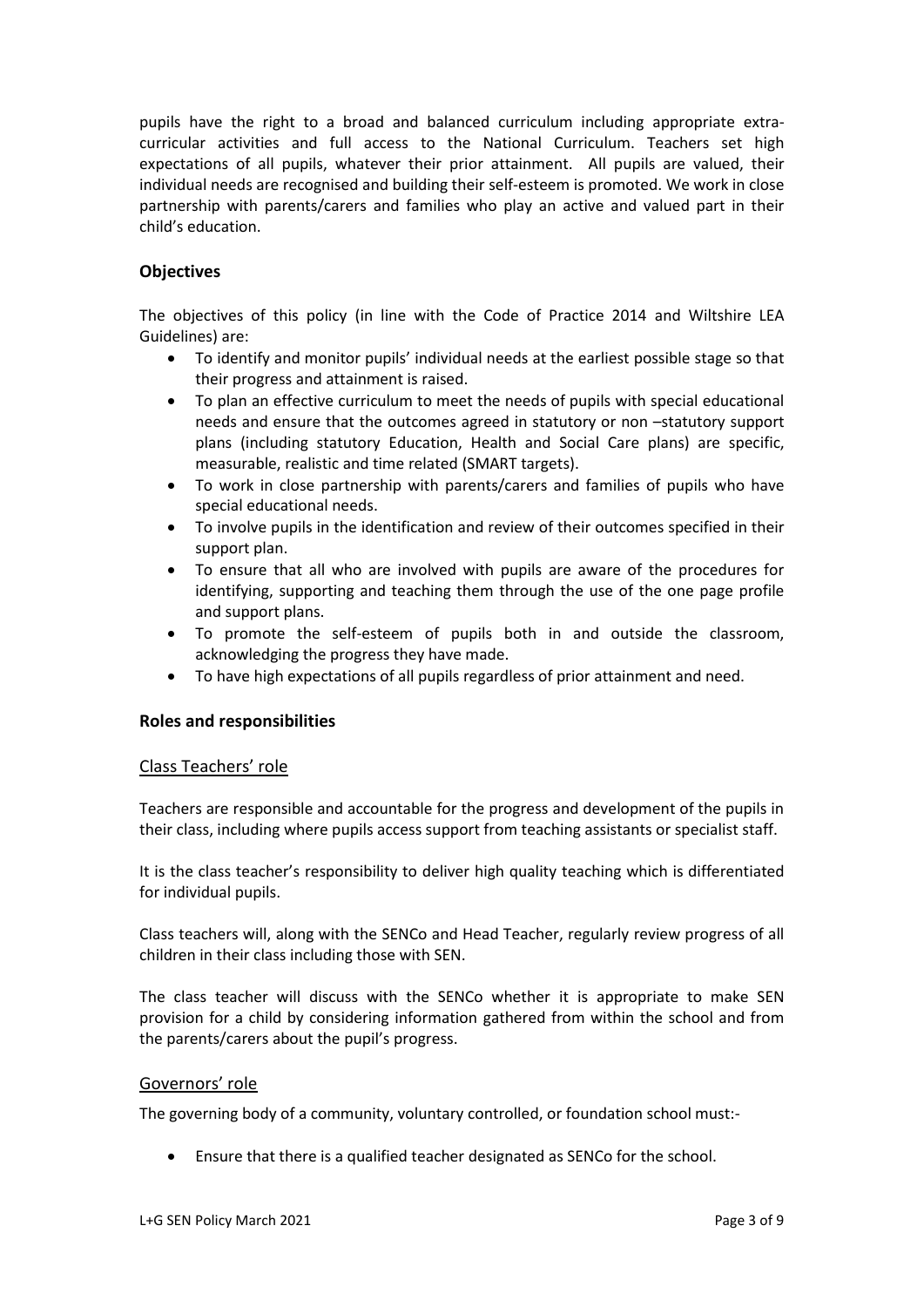pupils have the right to a broad and balanced curriculum including appropriate extracurricular activities and full access to the National Curriculum. Teachers set high expectations of all pupils, whatever their prior attainment. All pupils are valued, their individual needs are recognised and building their self-esteem is promoted. We work in close partnership with parents/carers and families who play an active and valued part in their child's education.

# **Objectives**

The objectives of this policy (in line with the Code of Practice 2014 and Wiltshire LEA Guidelines) are:

- To identify and monitor pupils' individual needs at the earliest possible stage so that their progress and attainment is raised.
- To plan an effective curriculum to meet the needs of pupils with special educational needs and ensure that the outcomes agreed in statutory or non –statutory support plans (including statutory Education, Health and Social Care plans) are specific, measurable, realistic and time related (SMART targets).
- To work in close partnership with parents/carers and families of pupils who have special educational needs.
- To involve pupils in the identification and review of their outcomes specified in their support plan.
- To ensure that all who are involved with pupils are aware of the procedures for identifying, supporting and teaching them through the use of the one page profile and support plans.
- To promote the self-esteem of pupils both in and outside the classroom, acknowledging the progress they have made.
- To have high expectations of all pupils regardless of prior attainment and need.

#### **Roles and responsibilities**

#### Class Teachers' role

Teachers are responsible and accountable for the progress and development of the pupils in their class, including where pupils access support from teaching assistants or specialist staff.

It is the class teacher's responsibility to deliver high quality teaching which is differentiated for individual pupils.

Class teachers will, along with the SENCo and Head Teacher, regularly review progress of all children in their class including those with SEN.

The class teacher will discuss with the SENCo whether it is appropriate to make SEN provision for a child by considering information gathered from within the school and from the parents/carers about the pupil's progress.

#### Governors' role

The governing body of a community, voluntary controlled, or foundation school must:-

Ensure that there is a qualified teacher designated as SENCo for the school.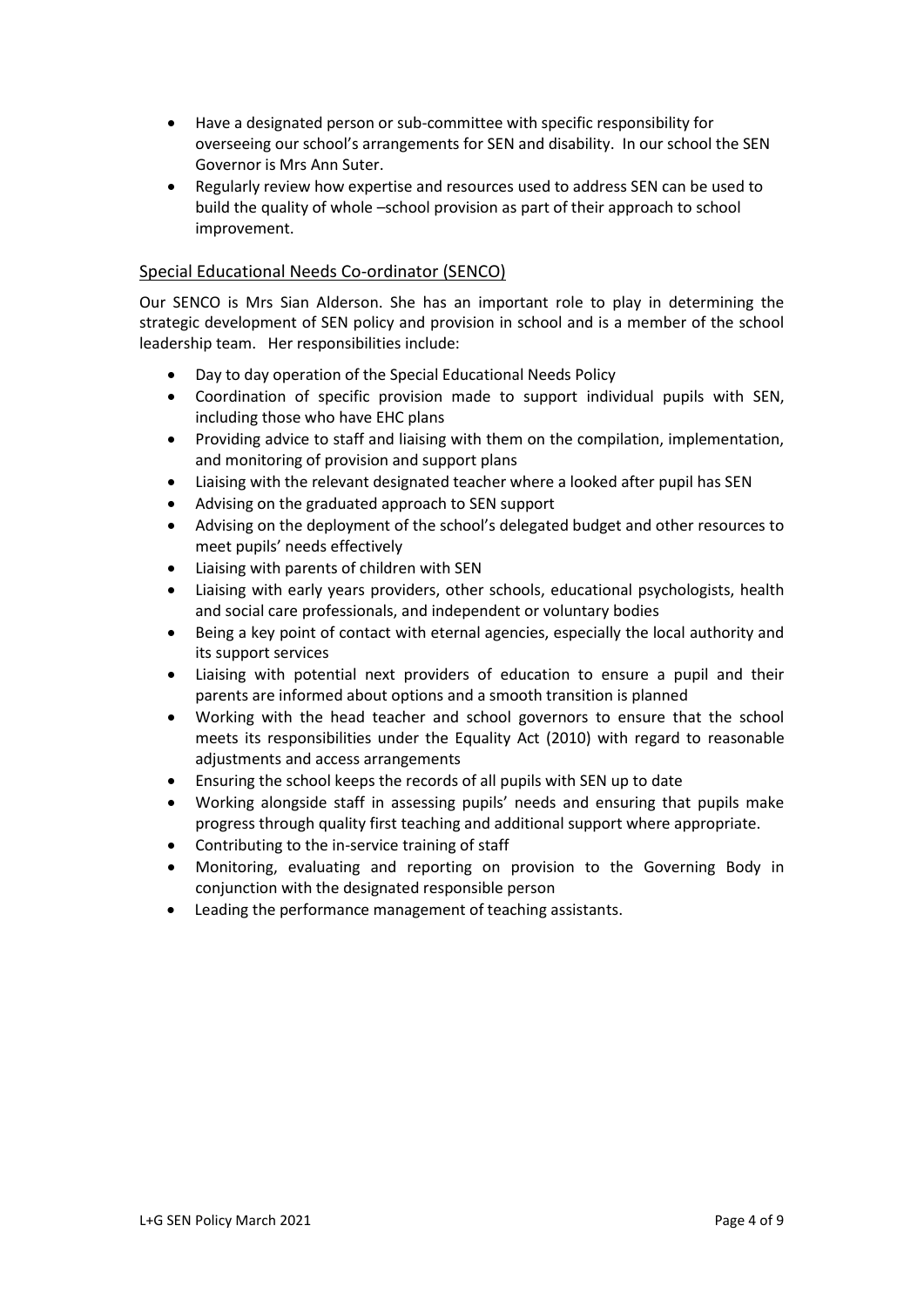- Have a designated person or sub-committee with specific responsibility for overseeing our school's arrangements for SEN and disability. In our school the SEN Governor is Mrs Ann Suter.
- Regularly review how expertise and resources used to address SEN can be used to build the quality of whole –school provision as part of their approach to school improvement.

# Special Educational Needs Co-ordinator (SENCO)

Our SENCO is Mrs Sian Alderson. She has an important role to play in determining the strategic development of SEN policy and provision in school and is a member of the school leadership team. Her responsibilities include:

- Day to day operation of the Special Educational Needs Policy
- Coordination of specific provision made to support individual pupils with SEN, including those who have EHC plans
- Providing advice to staff and liaising with them on the compilation, implementation, and monitoring of provision and support plans
- Liaising with the relevant designated teacher where a looked after pupil has SEN
- Advising on the graduated approach to SEN support
- Advising on the deployment of the school's delegated budget and other resources to meet pupils' needs effectively
- Liaising with parents of children with SEN
- Liaising with early years providers, other schools, educational psychologists, health and social care professionals, and independent or voluntary bodies
- Being a key point of contact with eternal agencies, especially the local authority and its support services
- Liaising with potential next providers of education to ensure a pupil and their parents are informed about options and a smooth transition is planned
- Working with the head teacher and school governors to ensure that the school meets its responsibilities under the Equality Act (2010) with regard to reasonable adjustments and access arrangements
- Ensuring the school keeps the records of all pupils with SEN up to date
- Working alongside staff in assessing pupils' needs and ensuring that pupils make progress through quality first teaching and additional support where appropriate.
- Contributing to the in-service training of staff
- Monitoring, evaluating and reporting on provision to the Governing Body in conjunction with the designated responsible person
- Leading the performance management of teaching assistants.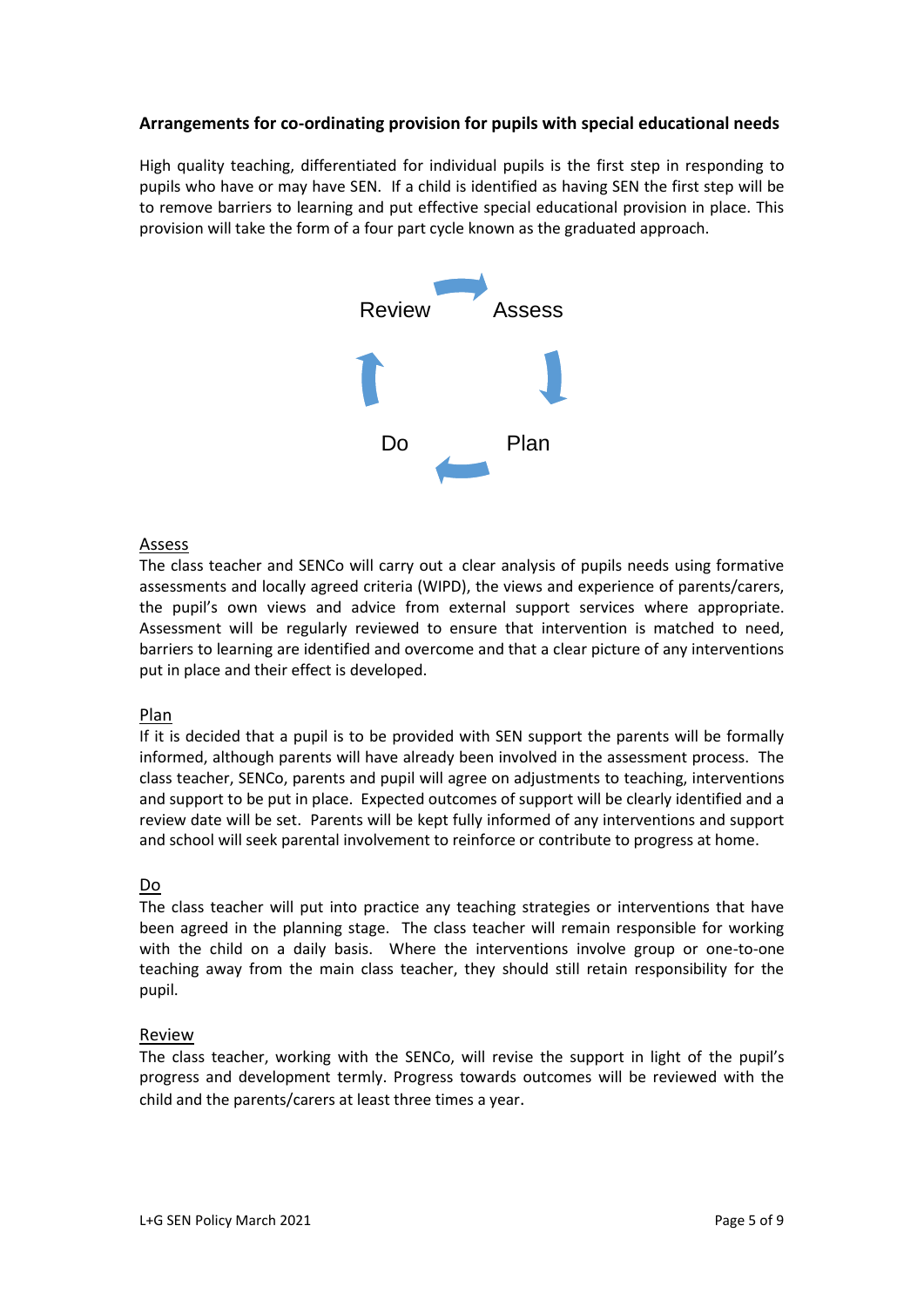# **Arrangements for co-ordinating provision for pupils with special educational needs**

High quality teaching, differentiated for individual pupils is the first step in responding to pupils who have or may have SEN. If a child is identified as having SEN the first step will be to remove barriers to learning and put effective special educational provision in place. This provision will take the form of a four part cycle known as the graduated approach.



## Assess

The class teacher and SENCo will carry out a clear analysis of pupils needs using formative assessments and locally agreed criteria (WIPD), the views and experience of parents/carers, the pupil's own views and advice from external support services where appropriate. Assessment will be regularly reviewed to ensure that intervention is matched to need, barriers to learning are identified and overcome and that a clear picture of any interventions put in place and their effect is developed.

#### Plan

If it is decided that a pupil is to be provided with SEN support the parents will be formally informed, although parents will have already been involved in the assessment process. The class teacher, SENCo, parents and pupil will agree on adjustments to teaching, interventions and support to be put in place. Expected outcomes of support will be clearly identified and a review date will be set. Parents will be kept fully informed of any interventions and support and school will seek parental involvement to reinforce or contribute to progress at home.

#### Do

The class teacher will put into practice any teaching strategies or interventions that have been agreed in the planning stage. The class teacher will remain responsible for working with the child on a daily basis. Where the interventions involve group or one-to-one teaching away from the main class teacher, they should still retain responsibility for the pupil.

#### Review

The class teacher, working with the SENCo, will revise the support in light of the pupil's progress and development termly. Progress towards outcomes will be reviewed with the child and the parents/carers at least three times a year.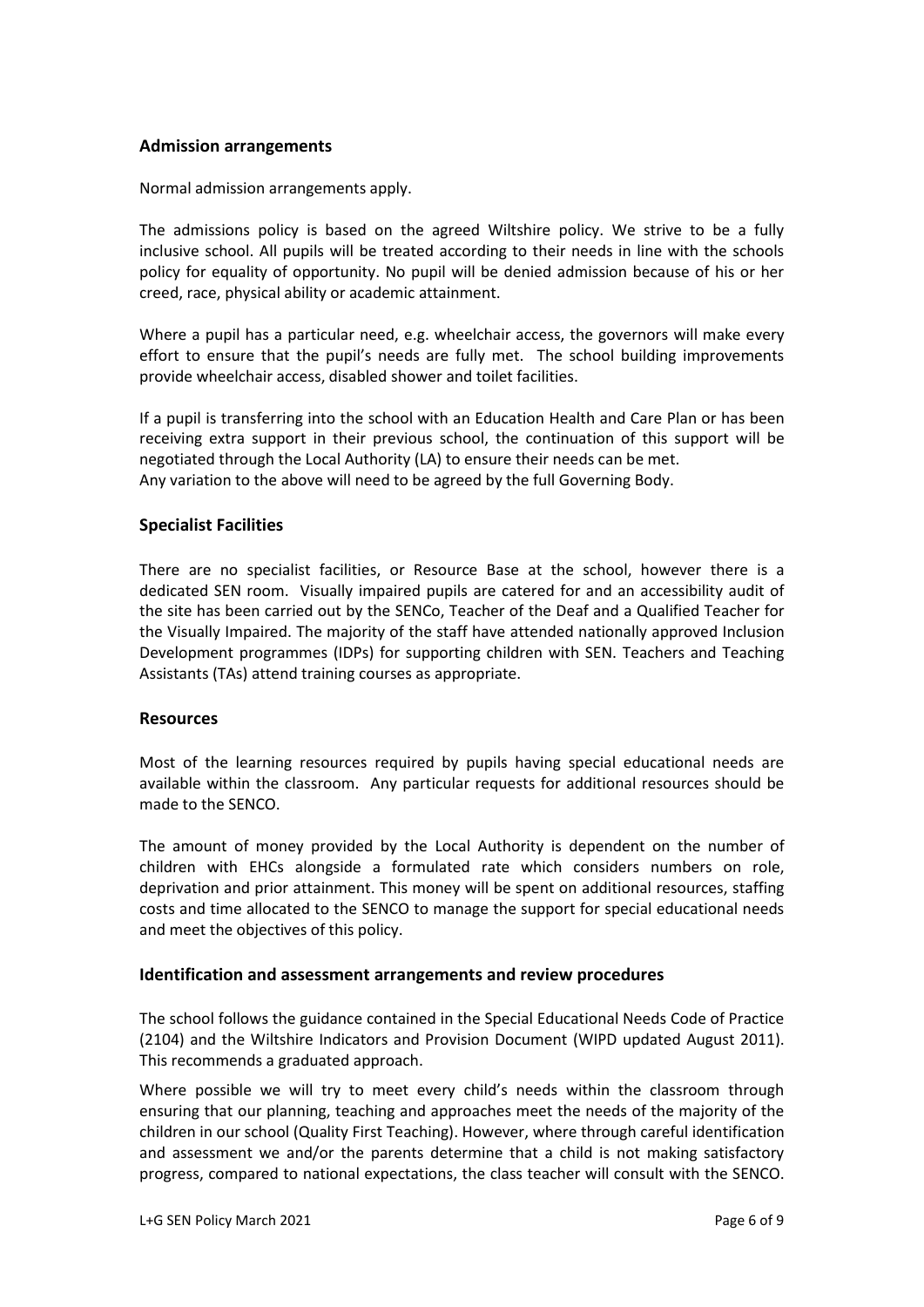#### **Admission arrangements**

Normal admission arrangements apply.

The admissions policy is based on the agreed Wiltshire policy. We strive to be a fully inclusive school. All pupils will be treated according to their needs in line with the schools policy for equality of opportunity. No pupil will be denied admission because of his or her creed, race, physical ability or academic attainment.

Where a pupil has a particular need, e.g. wheelchair access, the governors will make every effort to ensure that the pupil's needs are fully met. The school building improvements provide wheelchair access, disabled shower and toilet facilities.

If a pupil is transferring into the school with an Education Health and Care Plan or has been receiving extra support in their previous school, the continuation of this support will be negotiated through the Local Authority (LA) to ensure their needs can be met. Any variation to the above will need to be agreed by the full Governing Body.

#### **Specialist Facilities**

There are no specialist facilities, or Resource Base at the school, however there is a dedicated SEN room. Visually impaired pupils are catered for and an accessibility audit of the site has been carried out by the SENCo, Teacher of the Deaf and a Qualified Teacher for the Visually Impaired. The majority of the staff have attended nationally approved Inclusion Development programmes (IDPs) for supporting children with SEN. Teachers and Teaching Assistants (TAs) attend training courses as appropriate.

#### **Resources**

Most of the learning resources required by pupils having special educational needs are available within the classroom. Any particular requests for additional resources should be made to the SENCO.

The amount of money provided by the Local Authority is dependent on the number of children with EHCs alongside a formulated rate which considers numbers on role, deprivation and prior attainment. This money will be spent on additional resources, staffing costs and time allocated to the SENCO to manage the support for special educational needs and meet the objectives of this policy.

#### **Identification and assessment arrangements and review procedures**

The school follows the guidance contained in the Special Educational Needs Code of Practice (2104) and the Wiltshire Indicators and Provision Document (WIPD updated August 2011). This recommends a graduated approach.

Where possible we will try to meet every child's needs within the classroom through ensuring that our planning, teaching and approaches meet the needs of the majority of the children in our school (Quality First Teaching). However, where through careful identification and assessment we and/or the parents determine that a child is not making satisfactory progress, compared to national expectations, the class teacher will consult with the SENCO.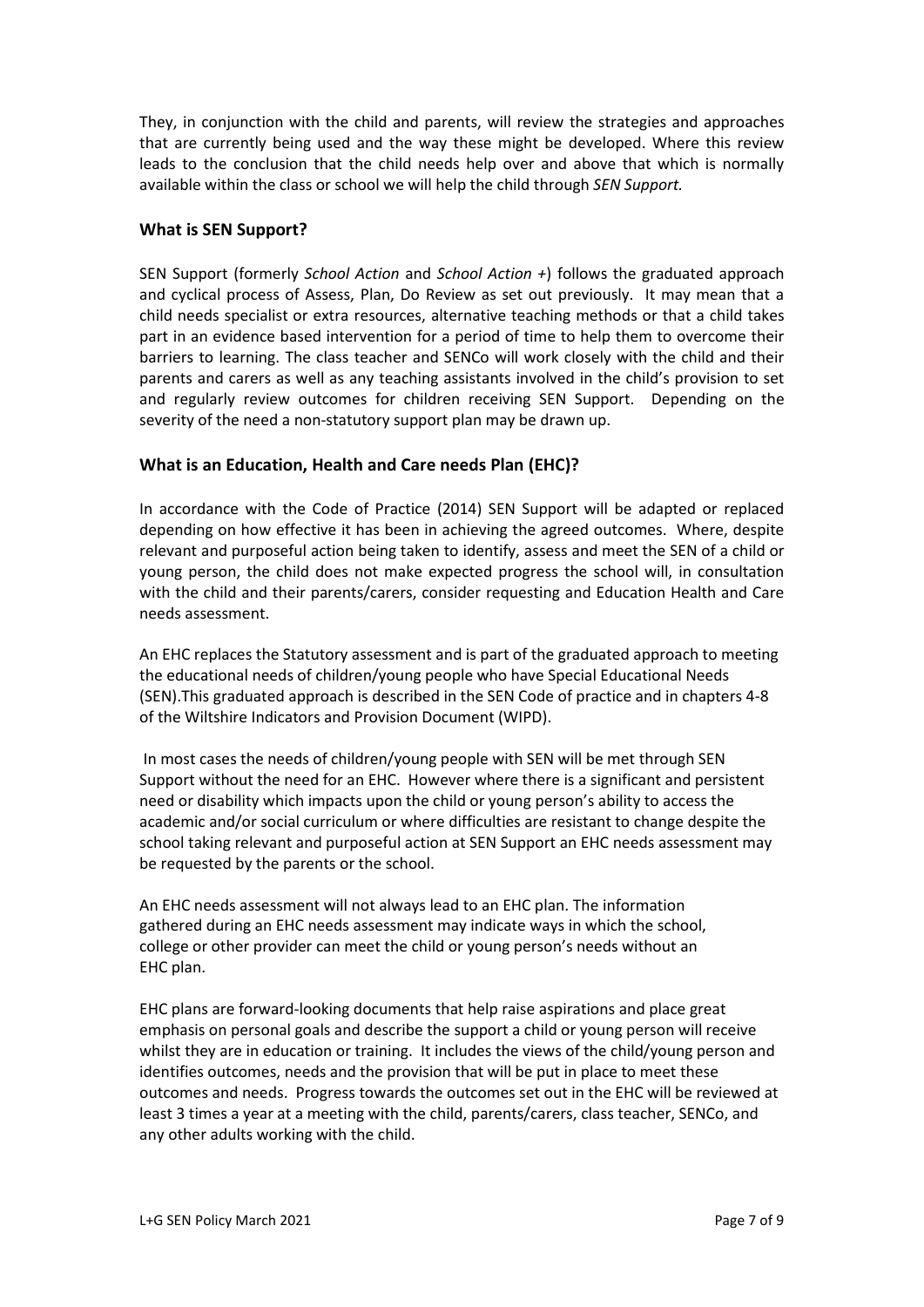They, in conjunction with the child and parents, will review the strategies and approaches that are currently being used and the way these might be developed. Where this review leads to the conclusion that the child needs help over and above that which is normally available within the class or school we will help the child through *SEN Support.* 

## **What is SEN Support?**

SEN Support (formerly *School Action* and *School Action +*) follows the graduated approach and cyclical process of Assess, Plan, Do Review as set out previously. It may mean that a child needs specialist or extra resources, alternative teaching methods or that a child takes part in an evidence based intervention for a period of time to help them to overcome their barriers to learning. The class teacher and SENCo will work closely with the child and their parents and carers as well as any teaching assistants involved in the child's provision to set and regularly review outcomes for children receiving SEN Support. Depending on the severity of the need a non-statutory support plan may be drawn up.

#### **What is an Education, Health and Care needs Plan (EHC)?**

In accordance with the Code of Practice (2014) SEN Support will be adapted or replaced depending on how effective it has been in achieving the agreed outcomes. Where, despite relevant and purposeful action being taken to identify, assess and meet the SEN of a child or young person, the child does not make expected progress the school will, in consultation with the child and their parents/carers, consider requesting and Education Health and Care needs assessment.

An EHC replaces the Statutory assessment and is part of the graduated approach to meeting the educational needs of children/young people who have Special Educational Needs (SEN).This graduated approach is described in the SEN Code of practice and in chapters 4-8 of the Wiltshire Indicators and Provision Document (WIPD).

In most cases the needs of children/young people with SEN will be met through SEN Support without the need for an EHC. However where there is a significant and persistent need or disability which impacts upon the child or young person's ability to access the academic and/or social curriculum or where difficulties are resistant to change despite the school taking relevant and purposeful action at SEN Support an EHC needs assessment may be requested by the parents or the school.

An EHC needs assessment will not always lead to an EHC plan. The information gathered during an EHC needs assessment may indicate ways in which the school, college or other provider can meet the child or young person's needs without an EHC plan.

EHC plans are forward-looking documents that help raise aspirations and place great emphasis on personal goals and describe the support a child or young person will receive whilst they are in education or training. It includes the views of the child/young person and identifies outcomes, needs and the provision that will be put in place to meet these outcomes and needs. Progress towards the outcomes set out in the EHC will be reviewed at least 3 times a year at a meeting with the child, parents/carers, class teacher, SENCo, and any other adults working with the child.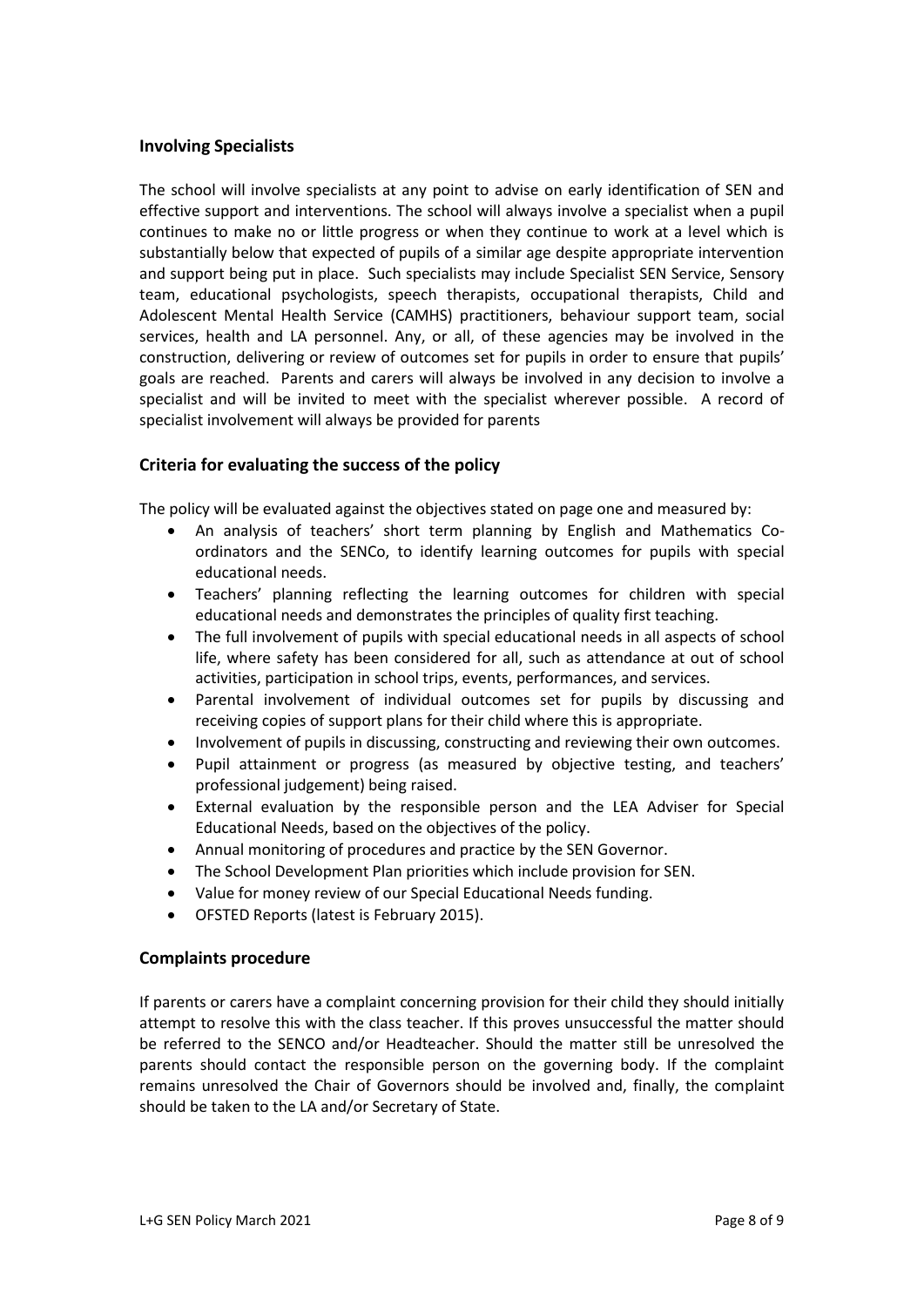#### **Involving Specialists**

The school will involve specialists at any point to advise on early identification of SEN and effective support and interventions. The school will always involve a specialist when a pupil continues to make no or little progress or when they continue to work at a level which is substantially below that expected of pupils of a similar age despite appropriate intervention and support being put in place. Such specialists may include Specialist SEN Service, Sensory team, educational psychologists, speech therapists, occupational therapists, Child and Adolescent Mental Health Service (CAMHS) practitioners, behaviour support team, social services, health and LA personnel. Any, or all, of these agencies may be involved in the construction, delivering or review of outcomes set for pupils in order to ensure that pupils' goals are reached. Parents and carers will always be involved in any decision to involve a specialist and will be invited to meet with the specialist wherever possible. A record of specialist involvement will always be provided for parents

#### **Criteria for evaluating the success of the policy**

The policy will be evaluated against the objectives stated on page one and measured by:

- An analysis of teachers' short term planning by English and Mathematics Coordinators and the SENCo, to identify learning outcomes for pupils with special educational needs.
- Teachers' planning reflecting the learning outcomes for children with special educational needs and demonstrates the principles of quality first teaching.
- The full involvement of pupils with special educational needs in all aspects of school life, where safety has been considered for all, such as attendance at out of school activities, participation in school trips, events, performances, and services.
- Parental involvement of individual outcomes set for pupils by discussing and receiving copies of support plans for their child where this is appropriate.
- Involvement of pupils in discussing, constructing and reviewing their own outcomes.
- Pupil attainment or progress (as measured by objective testing, and teachers' professional judgement) being raised.
- External evaluation by the responsible person and the LEA Adviser for Special Educational Needs, based on the objectives of the policy.
- Annual monitoring of procedures and practice by the SEN Governor.
- The School Development Plan priorities which include provision for SEN.
- Value for money review of our Special Educational Needs funding.
- OFSTED Reports (latest is February 2015).

#### **Complaints procedure**

If parents or carers have a complaint concerning provision for their child they should initially attempt to resolve this with the class teacher. If this proves unsuccessful the matter should be referred to the SENCO and/or Headteacher. Should the matter still be unresolved the parents should contact the responsible person on the governing body. If the complaint remains unresolved the Chair of Governors should be involved and, finally, the complaint should be taken to the LA and/or Secretary of State.